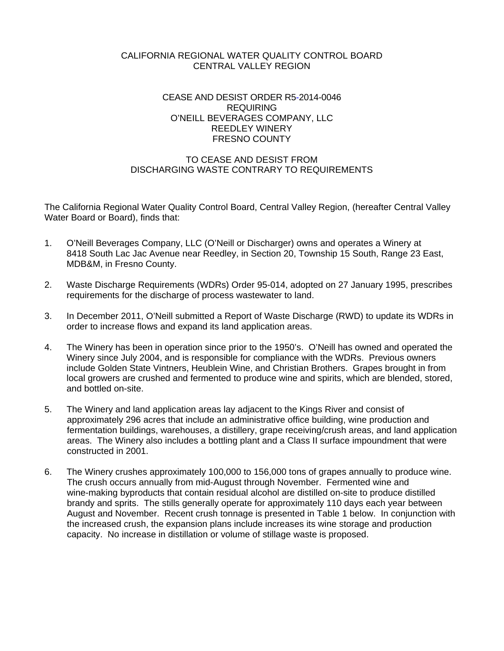# CALIFORNIA REGIONAL WATER QUALITY CONTROL BOARD CENTRAL VALLEY REGION

## CEASE AND DESIST ORDER R5-2014-0046 REQUIRING O'NEILL BEVERAGES COMPANY, LLC REEDLEY WINERY FRESNO COUNTY

# TO CEASE AND DESIST FROM DISCHARGING WASTE CONTRARY TO REQUIREMENTS

The California Regional Water Quality Control Board, Central Valley Region, (hereafter Central Valley Water Board or Board), finds that:

- 1. O'Neill Beverages Company, LLC (O'Neill or Discharger) owns and operates a Winery at 8418 South Lac Jac Avenue near Reedley, in Section 20, Township 15 South, Range 23 East, MDB&M, in Fresno County.
- 2. Waste Discharge Requirements (WDRs) Order 95-014, adopted on 27 January 1995, prescribes requirements for the discharge of process wastewater to land.
- 3. In December 2011, O'Neill submitted a Report of Waste Discharge (RWD) to update its WDRs in order to increase flows and expand its land application areas.
- 4. The Winery has been in operation since prior to the 1950's. O'Neill has owned and operated the Winery since July 2004, and is responsible for compliance with the WDRs. Previous owners include Golden State Vintners, Heublein Wine, and Christian Brothers. Grapes brought in from local growers are crushed and fermented to produce wine and spirits, which are blended, stored, and bottled on-site.
- 5. The Winery and land application areas lay adjacent to the Kings River and consist of approximately 296 acres that include an administrative office building, wine production and fermentation buildings, warehouses, a distillery, grape receiving/crush areas, and land application areas. The Winery also includes a bottling plant and a Class II surface impoundment that were constructed in 2001.
- 6. The Winery crushes approximately 100,000 to 156,000 tons of grapes annually to produce wine. The crush occurs annually from mid-August through November. Fermented wine and wine-making byproducts that contain residual alcohol are distilled on-site to produce distilled brandy and sprits. The stills generally operate for approximately 110 days each year between August and November. Recent crush tonnage is presented in Table 1 below. In conjunction with the increased crush, the expansion plans include increases its wine storage and production capacity. No increase in distillation or volume of stillage waste is proposed.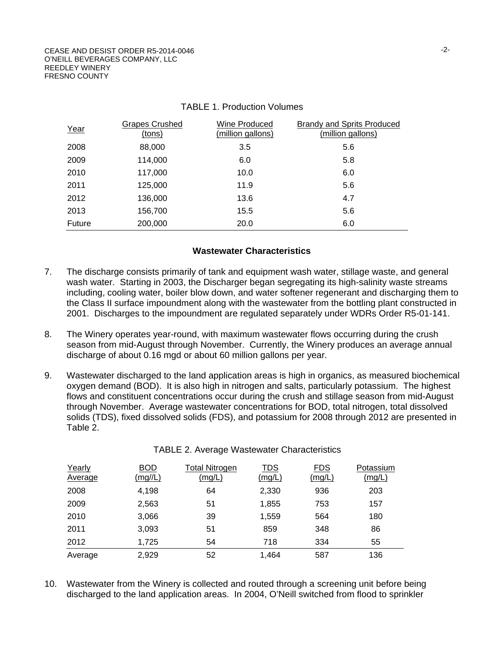| Year   | <b>Grapes Crushed</b><br>(tons) | Wine Produced<br>(million gallons) | <b>Brandy and Sprits Produced</b><br>(million gallons) |
|--------|---------------------------------|------------------------------------|--------------------------------------------------------|
| 2008   | 88,000                          | 3.5                                | 5.6                                                    |
| 2009   | 114,000                         | 6.0                                | 5.8                                                    |
| 2010   | 117,000                         | 10.0                               | 6.0                                                    |
| 2011   | 125,000                         | 11.9                               | 5.6                                                    |
| 2012   | 136,000                         | 13.6                               | 4.7                                                    |
| 2013   | 156,700                         | 15.5                               | 5.6                                                    |
| Future | 200,000                         | 20.0                               | 6.0                                                    |

## TABLE 1. Production Volumes

#### **Wastewater Characteristics**

- 7. The discharge consists primarily of tank and equipment wash water, stillage waste, and general wash water. Starting in 2003, the Discharger began segregating its high-salinity waste streams including, cooling water, boiler blow down, and water softener regenerant and discharging them to the Class II surface impoundment along with the wastewater from the bottling plant constructed in 2001. Discharges to the impoundment are regulated separately under WDRs Order R5-01-141.
- 8. The Winery operates year-round, with maximum wastewater flows occurring during the crush season from mid-August through November. Currently, the Winery produces an average annual discharge of about 0.16 mgd or about 60 million gallons per year.
- 9. Wastewater discharged to the land application areas is high in organics, as measured biochemical oxygen demand (BOD). It is also high in nitrogen and salts, particularly potassium. The highest flows and constituent concentrations occur during the crush and stillage season from mid-August through November. Average wastewater concentrations for BOD, total nitrogen, total dissolved solids (TDS), fixed dissolved solids (FDS), and potassium for 2008 through 2012 are presented in Table 2.

| Yearly<br>Average | <b>BOD</b><br>(mg/L) | <b>Total Nitrogen</b><br>(mg/L) | TDS<br>(mg/L) | <b>FDS</b><br>(mg/L) | Potassium<br>(mg/L) |
|-------------------|----------------------|---------------------------------|---------------|----------------------|---------------------|
| 2008              | 4,198                | 64                              | 2,330         | 936                  | 203                 |
| 2009              | 2,563                | 51                              | 1,855         | 753                  | 157                 |
| 2010              | 3,066                | 39                              | 1,559         | 564                  | 180                 |
| 2011              | 3,093                | 51                              | 859           | 348                  | 86                  |
| 2012              | 1,725                | 54                              | 718           | 334                  | 55                  |
| Average           | 2,929                | 52                              | 1,464         | 587                  | 136                 |

#### TABLE 2. Average Wastewater Characteristics

10. Wastewater from the Winery is collected and routed through a screening unit before being discharged to the land application areas. In 2004, O'Neill switched from flood to sprinkler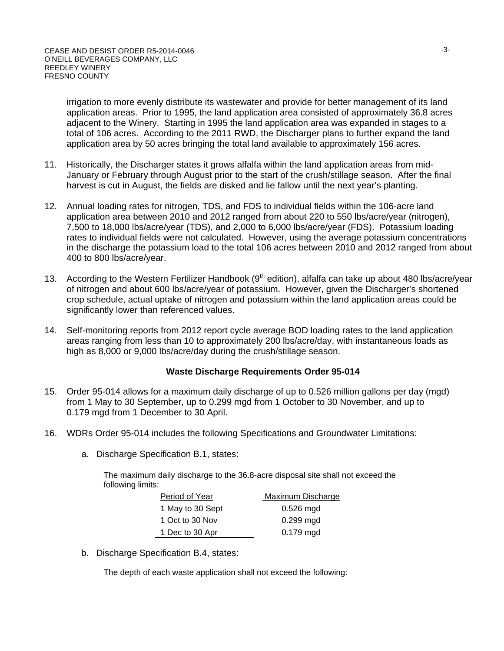irrigation to more evenly distribute its wastewater and provide for better management of its land application areas. Prior to 1995, the land application area consisted of approximately 36.8 acres adjacent to the Winery. Starting in 1995 the land application area was expanded in stages to a total of 106 acres. According to the 2011 RWD, the Discharger plans to further expand the land application area by 50 acres bringing the total land available to approximately 156 acres.

- 11. Historically, the Discharger states it grows alfalfa within the land application areas from mid-January or February through August prior to the start of the crush/stillage season. After the final harvest is cut in August, the fields are disked and lie fallow until the next year's planting.
- 12. Annual loading rates for nitrogen, TDS, and FDS to individual fields within the 106-acre land application area between 2010 and 2012 ranged from about 220 to 550 lbs/acre/year (nitrogen), 7,500 to 18,000 lbs/acre/year (TDS), and 2,000 to 6,000 lbs/acre/year (FDS). Potassium loading rates to individual fields were not calculated. However, using the average potassium concentrations in the discharge the potassium load to the total 106 acres between 2010 and 2012 ranged from about 400 to 800 lbs/acre/year.
- 13. According to the Western Fertilizer Handbook (9<sup>th</sup> edition), alfalfa can take up about 480 lbs/acre/year of nitrogen and about 600 lbs/acre/year of potassium. However, given the Discharger's shortened crop schedule, actual uptake of nitrogen and potassium within the land application areas could be significantly lower than referenced values.
- 14. Self-monitoring reports from 2012 report cycle average BOD loading rates to the land application areas ranging from less than 10 to approximately 200 lbs/acre/day, with instantaneous loads as high as 8,000 or 9,000 lbs/acre/day during the crush/stillage season.

#### **Waste Discharge Requirements Order 95-014**

- 15. Order 95-014 allows for a maximum daily discharge of up to 0.526 million gallons per day (mgd) from 1 May to 30 September, up to 0.299 mgd from 1 October to 30 November, and up to 0.179 mgd from 1 December to 30 April.
- 16. WDRs Order 95-014 includes the following Specifications and Groundwater Limitations:
	- a. Discharge Specification B.1, states:

The maximum daily discharge to the 36.8-acre disposal site shall not exceed the following limits:

| Period of Year   | Maximum Discharge |
|------------------|-------------------|
| 1 May to 30 Sept | $0.526$ mgd       |
| 1 Oct to 30 Nov  | $0.299$ mgd       |
| 1 Dec to 30 Apr  | $0.179$ mgd       |

b. Discharge Specification B.4, states:

The depth of each waste application shall not exceed the following: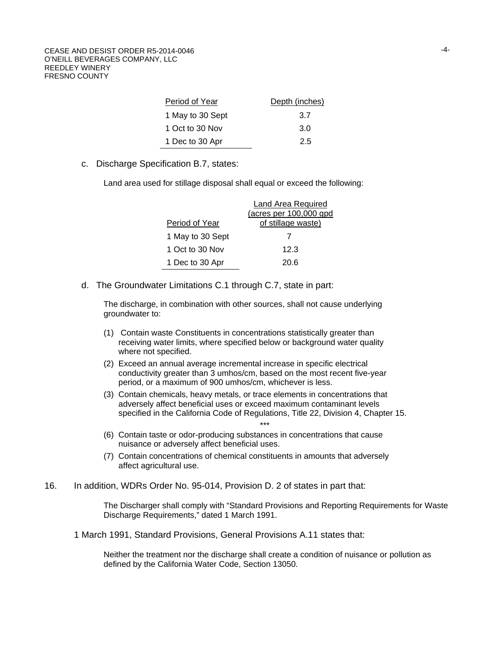| Period of Year   | Depth (inches) |
|------------------|----------------|
| 1 May to 30 Sept | 3.7            |
| 1 Oct to 30 Nov  | 3.0            |
| 1 Dec to 30 Apr  | 2.5            |

c. Discharge Specification B.7, states:

Land area used for stillage disposal shall equal or exceed the following:

|                  | Land Area Required     |
|------------------|------------------------|
|                  | (acres per 100,000 gpd |
| Period of Year   | of stillage waste)     |
| 1 May to 30 Sept |                        |
| 1 Oct to 30 Nov  | 12.3                   |
| 1 Dec to 30 Apr  | 20 R                   |

d. The Groundwater Limitations C.1 through C.7, state in part:

The discharge, in combination with other sources, shall not cause underlying groundwater to:

- (1) Contain waste Constituents in concentrations statistically greater than receiving water limits, where specified below or background water quality where not specified.
- (2) Exceed an annual average incremental increase in specific electrical conductivity greater than 3 umhos/cm, based on the most recent five-year period, or a maximum of 900 umhos/cm, whichever is less.
- (3) Contain chemicals, heavy metals, or trace elements in concentrations that adversely affect beneficial uses or exceed maximum contaminant levels specified in the California Code of Regulations, Title 22, Division 4, Chapter 15. \*\*\*
- (6) Contain taste or odor-producing substances in concentrations that cause nuisance or adversely affect beneficial uses.
- (7) Contain concentrations of chemical constituents in amounts that adversely affect agricultural use.
- 16. In addition, WDRs Order No. 95-014, Provision D. 2 of states in part that:

The Discharger shall comply with "Standard Provisions and Reporting Requirements for Waste Discharge Requirements," dated 1 March 1991.

1 March 1991, Standard Provisions, General Provisions A.11 states that:

Neither the treatment nor the discharge shall create a condition of nuisance or pollution as defined by the California Water Code, Section 13050.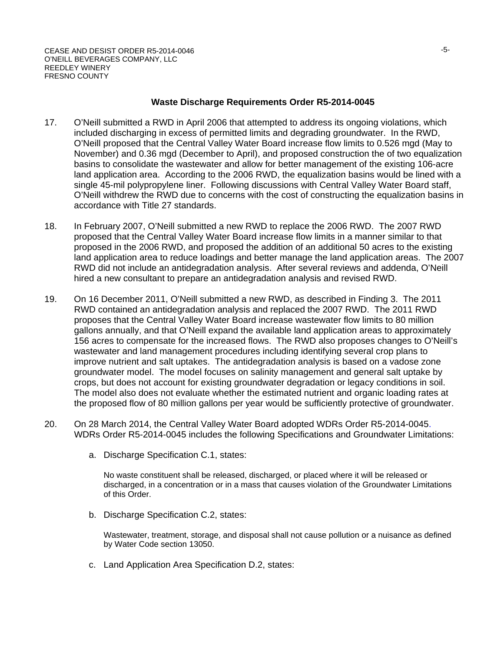#### **Waste Discharge Requirements Order R5-2014-0045**

- 17. O'Neill submitted a RWD in April 2006 that attempted to address its ongoing violations, which included discharging in excess of permitted limits and degrading groundwater. In the RWD, O'Neill proposed that the Central Valley Water Board increase flow limits to 0.526 mgd (May to November) and 0.36 mgd (December to April), and proposed construction the of two equalization basins to consolidate the wastewater and allow for better management of the existing 106-acre land application area. According to the 2006 RWD, the equalization basins would be lined with a single 45-mil polypropylene liner. Following discussions with Central Valley Water Board staff, O'Neill withdrew the RWD due to concerns with the cost of constructing the equalization basins in accordance with Title 27 standards.
- 18. In February 2007, O'Neill submitted a new RWD to replace the 2006 RWD. The 2007 RWD proposed that the Central Valley Water Board increase flow limits in a manner similar to that proposed in the 2006 RWD, and proposed the addition of an additional 50 acres to the existing land application area to reduce loadings and better manage the land application areas. The 2007 RWD did not include an antidegradation analysis. After several reviews and addenda, O'Neill hired a new consultant to prepare an antidegradation analysis and revised RWD.
- 19. On 16 December 2011, O'Neill submitted a new RWD, as described in Finding 3. The 2011 RWD contained an antidegradation analysis and replaced the 2007 RWD. The 2011 RWD proposes that the Central Valley Water Board increase wastewater flow limits to 80 million gallons annually, and that O'Neill expand the available land application areas to approximately 156 acres to compensate for the increased flows. The RWD also proposes changes to O'Neill's wastewater and land management procedures including identifying several crop plans to improve nutrient and salt uptakes. The antidegradation analysis is based on a vadose zone groundwater model. The model focuses on salinity management and general salt uptake by crops, but does not account for existing groundwater degradation or legacy conditions in soil. The model also does not evaluate whether the estimated nutrient and organic loading rates at the proposed flow of 80 million gallons per year would be sufficiently protective of groundwater.
- 20. On 28 March 2014, the Central Valley Water Board adopted WDRs Order R5-2014-0045. WDRs Order R5-2014-0045 includes the following Specifications and Groundwater Limitations:
	- a. Discharge Specification C.1, states:

No waste constituent shall be released, discharged, or placed where it will be released or discharged, in a concentration or in a mass that causes violation of the Groundwater Limitations of this Order.

b. Discharge Specification C.2, states:

Wastewater, treatment, storage, and disposal shall not cause pollution or a nuisance as defined by Water Code section 13050.

c. Land Application Area Specification D.2, states: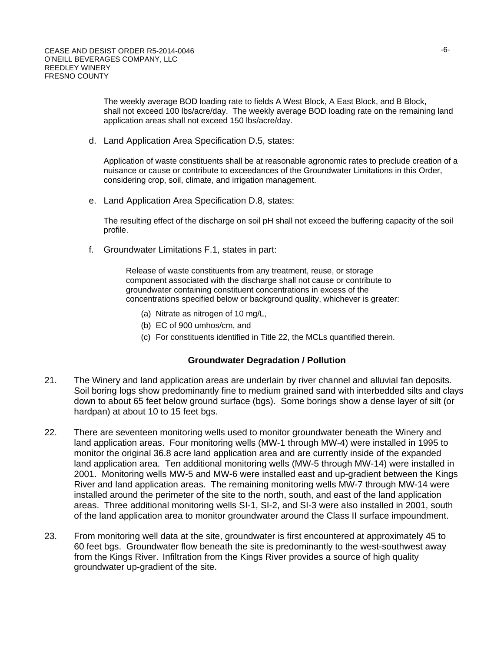The weekly average BOD loading rate to fields A West Block, A East Block, and B Block, shall not exceed 100 lbs/acre/day. The weekly average BOD loading rate on the remaining land application areas shall not exceed 150 lbs/acre/day.

d. Land Application Area Specification D.5, states:

Application of waste constituents shall be at reasonable agronomic rates to preclude creation of a nuisance or cause or contribute to exceedances of the Groundwater Limitations in this Order, considering crop, soil, climate, and irrigation management.

e. Land Application Area Specification D.8, states:

The resulting effect of the discharge on soil pH shall not exceed the buffering capacity of the soil profile.

f. Groundwater Limitations F.1, states in part:

Release of waste constituents from any treatment, reuse, or storage component associated with the discharge shall not cause or contribute to groundwater containing constituent concentrations in excess of the concentrations specified below or background quality, whichever is greater:

- (a) Nitrate as nitrogen of 10 mg/L,
- (b) EC of 900 umhos/cm, and
- (c) For constituents identified in Title 22, the MCLs quantified therein.

#### **Groundwater Degradation / Pollution**

- 21. The Winery and land application areas are underlain by river channel and alluvial fan deposits. Soil boring logs show predominantly fine to medium grained sand with interbedded silts and clays down to about 65 feet below ground surface (bgs). Some borings show a dense layer of silt (or hardpan) at about 10 to 15 feet bgs.
- 22. There are seventeen monitoring wells used to monitor groundwater beneath the Winery and land application areas. Four monitoring wells (MW-1 through MW-4) were installed in 1995 to monitor the original 36.8 acre land application area and are currently inside of the expanded land application area. Ten additional monitoring wells (MW-5 through MW-14) were installed in 2001. Monitoring wells MW-5 and MW-6 were installed east and up-gradient between the Kings River and land application areas. The remaining monitoring wells MW-7 through MW-14 were installed around the perimeter of the site to the north, south, and east of the land application areas. Three additional monitoring wells SI-1, SI-2, and SI-3 were also installed in 2001, south of the land application area to monitor groundwater around the Class II surface impoundment.
- 23. From monitoring well data at the site, groundwater is first encountered at approximately 45 to 60 feet bgs. Groundwater flow beneath the site is predominantly to the west-southwest away from the Kings River. Infiltration from the Kings River provides a source of high quality groundwater up-gradient of the site.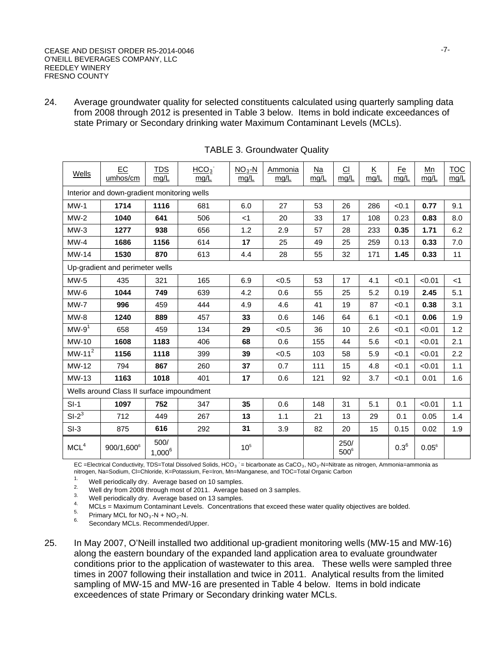24. Average groundwater quality for selected constituents calculated using quarterly sampling data from 2008 through 2012 is presented in Table 3 below. Items in bold indicate exceedances of state Primary or Secondary drinking water Maximum Contaminant Levels (MCLs).

| Wells                                       | EC<br>umhos/cm                            | <b>TDS</b><br>mg/L | HCO <sub>3</sub><br>mg/L | $NO3-N$<br>mg/L | Ammonia<br>mg/L | Na<br>mg/L | C1<br>mg/L      | $\underline{\mathsf{K}}$<br>mg/L | <u>Fe</u><br>mg/L | Mn<br>mg/L | <b>TOC</b><br>mg/L |
|---------------------------------------------|-------------------------------------------|--------------------|--------------------------|-----------------|-----------------|------------|-----------------|----------------------------------|-------------------|------------|--------------------|
| Interior and down-gradient monitoring wells |                                           |                    |                          |                 |                 |            |                 |                                  |                   |            |                    |
| $MW-1$                                      | 1714                                      | 1116               | 681                      | 6.0             | 27              | 53         | 26              | 286                              | < 0.1             | 0.77       | 9.1                |
| $MW-2$                                      | 1040                                      | 641                | 506                      | $<$ 1           | 20              | 33         | 17              | 108                              | 0.23              | 0.83       | 8.0                |
| $MW-3$                                      | 1277                                      | 938                | 656                      | 1.2             | 2.9             | 57         | 28              | 233                              | 0.35              | 1.71       | 6.2                |
| $MW-4$                                      | 1686                                      | 1156               | 614                      | 17              | 25              | 49         | 25              | 259                              | 0.13              | 0.33       | 7.0                |
| MW-14                                       | 1530                                      | 870                | 613                      | 4.4             | 28              | 55         | 32              | 171                              | 1.45              | 0.33       | 11                 |
|                                             | Up-gradient and perimeter wells           |                    |                          |                 |                 |            |                 |                                  |                   |            |                    |
| $MW-5$                                      | 435                                       | 321                | 165                      | 6.9             | < 0.5           | 53         | 17              | 4.1                              | < 0.1             | < 0.01     | $<$ 1              |
| $MW-6$                                      | 1044                                      | 749                | 639                      | 4.2             | 0.6             | 55         | 25              | 5.2                              | 0.19              | 2.45       | 5.1                |
| $MW-7$                                      | 996                                       | 459                | 444                      | 4.9             | 4.6             | 41         | 19              | 87                               | < 0.1             | 0.38       | 3.1                |
| MW-8                                        | 1240                                      | 889                | 457                      | 33              | 0.6             | 146        | 64              | 6.1                              | < 0.1             | 0.06       | 1.9                |
| $MW-91$                                     | 658                                       | 459                | 134                      | 29              | < 0.5           | 36         | 10              | 2.6                              | < 0.1             | < 0.01     | 1.2                |
| MW-10                                       | 1608                                      | 1183               | 406                      | 68              | 0.6             | 155        | 44              | 5.6                              | < 0.1             | < 0.01     | 2.1                |
| $MW-112$                                    | 1156                                      | 1118               | 399                      | 39              | < 0.5           | 103        | 58              | 5.9                              | < 0.1             | < 0.01     | 2.2                |
| MW-12                                       | 794                                       | 867                | 260                      | 37              | 0.7             | 111        | 15              | 4.8                              | < 0.1             | < 0.01     | 1.1                |
| MW-13                                       | 1163                                      | 1018               | 401                      | 17              | 0.6             | 121        | 92              | 3.7                              | < 0.1             | 0.01       | 1.6                |
|                                             | Wells around Class II surface impoundment |                    |                          |                 |                 |            |                 |                                  |                   |            |                    |
| $SI-1$                                      | 1097                                      | 752                | 347                      | 35              | 0.6             | 148        | 31              | 5.1                              | 0.1               | < 0.01     | 1.1                |
| $SI-2^3$                                    | 712                                       | 449                | 267                      | 13              | 1.1             | 21         | 13              | 29                               | 0.1               | 0.05       | 1.4                |
| $SI-3$                                      | 875                                       | 616                | 292                      | 31              | 3.9             | 82         | 20              | 15                               | 0.15              | 0.02       | 1.9                |
| MCL <sup>4</sup>                            | 900/1,600 <sup>6</sup>                    | 500/<br>$1,000^6$  |                          | 10 <sup>5</sup> |                 |            | 250/<br>$500^6$ |                                  | $0.3^{6}$         | $0.05^6$   |                    |

TABLE 3. Groundwater Quality

EC =Electrical Conductivity, TDS=Total Dissolved Solids, HCO<sub>3</sub> : = bicarbonate as CaCO<sub>3</sub>, NO<sub>3</sub>-N=Nitrate as nitrogen, Ammonia=ammonia as nitrogen, Na=Sodium, Cl=Chloride, K=Potassium, Fe=Iron, Mn=Manganese, and TOC=Total Organic Carbon

<sup>1</sup>. Well periodically dry. Average based on 10 samples.<br>
<sup>2.</sup> Well dry from 2008 through most of 2011. Average based on 3 samples.<br>
<sup>3.</sup> Well periodically dry. Average based on 13 samples.<br>
<sup>4.</sup> MCLs = Maximum Contaminan

25. In May 2007, O'Neill installed two additional up-gradient monitoring wells (MW-15 and MW-16) along the eastern boundary of the expanded land application area to evaluate groundwater conditions prior to the application of wastewater to this area. These wells were sampled three times in 2007 following their installation and twice in 2011. Analytical results from the limited sampling of MW-15 and MW-16 are presented in Table 4 below. Items in bold indicate exceedences of state Primary or Secondary drinking water MCLs.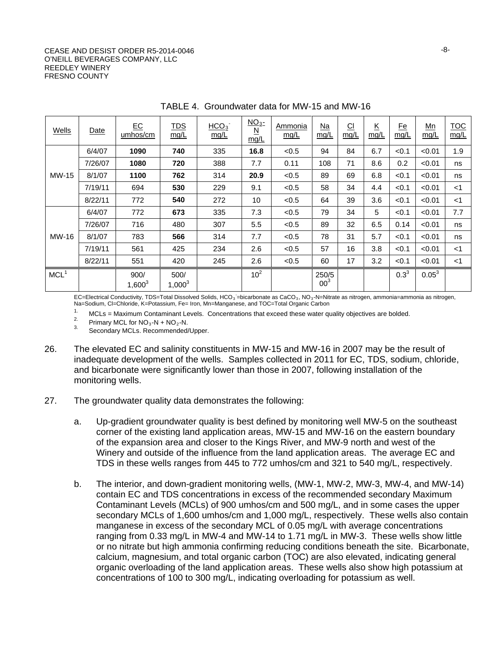#### CEASE AND DESIST ORDER R5-2014-0046 O'NEILL BEVERAGES COMPANY, LLC REEDLEY WINERY FRESNO COUNTY

| Wells            | Date    | $E$ C<br>umhos/cm | <b>TDS</b><br>mg/L | HCO <sub>3</sub><br>mg/L | $\underline{NO_3}$ -<br>$\underline{\mathsf{N}}$<br>mq/L | Ammonia<br>mg/L | $Na$<br>mg/L             | $\underline{\text{Cl}}$<br>mg/L | $\underline{\mathsf{K}}$<br>mg/L | $E$ e<br>mg/L | Mn<br>mg/L | <b>TOC</b><br>mg/L |
|------------------|---------|-------------------|--------------------|--------------------------|----------------------------------------------------------|-----------------|--------------------------|---------------------------------|----------------------------------|---------------|------------|--------------------|
|                  | 6/4/07  | 1090              | 740                | 335                      | 16.8                                                     | < 0.5           | 94                       | 84                              | 6.7                              | < 0.1         | < 0.01     | 1.9                |
|                  | 7/26/07 | 1080              | 720                | 388                      | 7.7                                                      | 0.11            | 108                      | 71                              | 8.6                              | 0.2           | < 0.01     | ns                 |
| MW-15            | 8/1/07  | 1100              | 762                | 314                      | 20.9                                                     | < 0.5           | 89                       | 69                              | 6.8                              | < 0.1         | < 0.01     | ns                 |
|                  | 7/19/11 | 694               | 530                | 229                      | 9.1                                                      | < 0.5           | 58                       | 34                              | 4.4                              | < 0.1         | < 0.01     | $<$ 1              |
|                  | 8/22/11 | 772               | 540                | 272                      | 10                                                       | < 0.5           | 64                       | 39                              | 3.6                              | < 0.1         | < 0.01     | $<$ 1              |
|                  | 6/4/07  | 772               | 673                | 335                      | 7.3                                                      | < 0.5           | 79                       | 34                              | 5                                | < 0.1         | < 0.01     | 7.7                |
|                  | 7/26/07 | 716               | 480                | 307                      | 5.5                                                      | < 0.5           | 89                       | 32                              | 6.5                              | 0.14          | < 0.01     | ns                 |
| MW-16            | 8/1/07  | 783               | 566                | 314                      | 7.7                                                      | < 0.5           | 78                       | 31                              | 5.7                              | < 0.1         | < 0.01     | ns                 |
|                  | 7/19/11 | 561               | 425                | 234                      | 2.6                                                      | < 0.5           | 57                       | 16                              | 3.8                              | < 0.1         | < 0.01     | $<$ 1              |
|                  | 8/22/11 | 551               | 420                | 245                      | 2.6                                                      | < 0.5           | 60                       | 17                              | 3.2                              | < 0.1         | < 0.01     | $<$ 1              |
| MCL <sup>1</sup> |         | 900/<br>$1,600^3$ | 500/<br>$1,000^3$  |                          | 10 <sup>2</sup>                                          |                 | 250/5<br>00 <sup>3</sup> |                                 |                                  | $0.3^{3}$     | $0.05^{3}$ |                    |

TABLE 4. Groundwater data for MW-15 and MW-16

EC=Electrical Conductivity, TDS=Total Dissolved Solids, HCO<sub>3</sub> =bicarbonate as CaCO<sub>3</sub>, NO<sub>3</sub>-N=Nitrate as nitrogen, ammonia=ammonia as nitrogen, Na=Sodium, Cl=Chloride, K=Potassium, Fe= Iron, Mn=Manganese, and TOC=Total Organic Carbon

1. MCLs = Maximum Contaminant Levels. Concentrations that exceed these water quality objectives are bolded.<br>
<sup>2.</sup> Primary MCL for NO<sub>3</sub>-N + NO<sub>2</sub>-N.<br>
<sup>3.</sup> Secondary MCLs. Recommended/Upper.

- 26. The elevated EC and salinity constituents in MW-15 and MW-16 in 2007 may be the result of inadequate development of the wells. Samples collected in 2011 for EC, TDS, sodium, chloride, and bicarbonate were significantly lower than those in 2007, following installation of the monitoring wells.
- 27. The groundwater quality data demonstrates the following:
	- a. Up-gradient groundwater quality is best defined by monitoring well MW-5 on the southeast corner of the existing land application areas, MW-15 and MW-16 on the eastern boundary of the expansion area and closer to the Kings River, and MW-9 north and west of the Winery and outside of the influence from the land application areas. The average EC and TDS in these wells ranges from 445 to 772 umhos/cm and 321 to 540 mg/L, respectively.
	- b. The interior, and down-gradient monitoring wells, (MW-1, MW-2, MW-3, MW-4, and MW-14) contain EC and TDS concentrations in excess of the recommended secondary Maximum Contaminant Levels (MCLs) of 900 umhos/cm and 500 mg/L, and in some cases the upper secondary MCLs of 1,600 umhos/cm and 1,000 mg/L, respectively. These wells also contain manganese in excess of the secondary MCL of 0.05 mg/L with average concentrations ranging from 0.33 mg/L in MW-4 and MW-14 to 1.71 mg/L in MW-3. These wells show little or no nitrate but high ammonia confirming reducing conditions beneath the site. Bicarbonate, calcium, magnesium, and total organic carbon (TOC) are also elevated, indicating general organic overloading of the land application areas. These wells also show high potassium at concentrations of 100 to 300 mg/L, indicating overloading for potassium as well.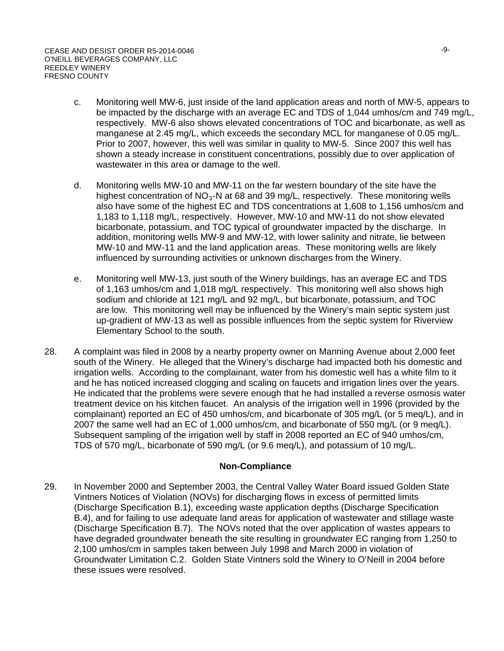- c. Monitoring well MW-6, just inside of the land application areas and north of MW-5, appears to be impacted by the discharge with an average EC and TDS of 1,044 umhos/cm and 749 mg/L, respectively. MW-6 also shows elevated concentrations of TOC and bicarbonate, as well as manganese at 2.45 mg/L, which exceeds the secondary MCL for manganese of 0.05 mg/L. Prior to 2007, however, this well was similar in quality to MW-5. Since 2007 this well has shown a steady increase in constituent concentrations, possibly due to over application of wastewater in this area or damage to the well.
- d. Monitoring wells MW-10 and MW-11 on the far western boundary of the site have the highest concentration of  $NO<sub>3</sub>$ -N at 68 and 39 mg/L, respectively. These monitoring wells also have some of the highest EC and TDS concentrations at 1,608 to 1,156 umhos/cm and 1,183 to 1,118 mg/L, respectively. However, MW-10 and MW-11 do not show elevated bicarbonate, potassium, and TOC typical of groundwater impacted by the discharge. In addition, monitoring wells MW-9 and MW-12, with lower salinity and nitrate, lie between MW-10 and MW-11 and the land application areas. These monitoring wells are likely influenced by surrounding activities or unknown discharges from the Winery.
- e. Monitoring well MW-13, just south of the Winery buildings, has an average EC and TDS of 1,163 umhos/cm and 1,018 mg/L respectively. This monitoring well also shows high sodium and chloride at 121 mg/L and 92 mg/L, but bicarbonate, potassium, and TOC are low. This monitoring well may be influenced by the Winery's main septic system just up-gradient of MW-13 as well as possible influences from the septic system for Riverview Elementary School to the south.
- 28. A complaint was filed in 2008 by a nearby property owner on Manning Avenue about 2,000 feet south of the Winery. He alleged that the Winery's discharge had impacted both his domestic and irrigation wells. According to the complainant, water from his domestic well has a white film to it and he has noticed increased clogging and scaling on faucets and irrigation lines over the years. He indicated that the problems were severe enough that he had installed a reverse osmosis water treatment device on his kitchen faucet. An analysis of the irrigation well in 1996 (provided by the complainant) reported an EC of 450 umhos/cm, and bicarbonate of 305 mg/L (or 5 meq/L), and in 2007 the same well had an EC of 1,000 umhos/cm, and bicarbonate of 550 mg/L (or 9 meq/L). Subsequent sampling of the irrigation well by staff in 2008 reported an EC of 940 umhos/cm, TDS of 570 mg/L, bicarbonate of 590 mg/L (or 9.6 meq/L), and potassium of 10 mg/L.

## **Non-Compliance**

29. In November 2000 and September 2003, the Central Valley Water Board issued Golden State Vintners Notices of Violation (NOVs) for discharging flows in excess of permitted limits (Discharge Specification B.1), exceeding waste application depths (Discharge Specification B.4), and for failing to use adequate land areas for application of wastewater and stillage waste (Discharge Specification B.7). The NOVs noted that the over application of wastes appears to have degraded groundwater beneath the site resulting in groundwater EC ranging from 1,250 to 2,100 umhos/cm in samples taken between July 1998 and March 2000 in violation of Groundwater Limitation C.2. Golden State Vintners sold the Winery to O'Neill in 2004 before these issues were resolved.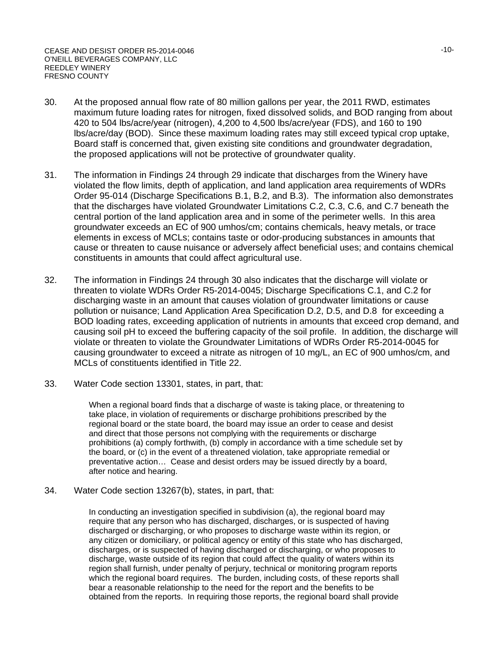- 30. At the proposed annual flow rate of 80 million gallons per year, the 2011 RWD, estimates maximum future loading rates for nitrogen, fixed dissolved solids, and BOD ranging from about 420 to 504 lbs/acre/year (nitrogen), 4,200 to 4,500 lbs/acre/year (FDS), and 160 to 190 lbs/acre/day (BOD). Since these maximum loading rates may still exceed typical crop uptake, Board staff is concerned that, given existing site conditions and groundwater degradation, the proposed applications will not be protective of groundwater quality.
- 31. The information in Findings 24 through 29 indicate that discharges from the Winery have violated the flow limits, depth of application, and land application area requirements of WDRs Order 95-014 (Discharge Specifications B.1, B.2, and B.3). The information also demonstrates that the discharges have violated Groundwater Limitations C.2, C.3, C.6, and C.7 beneath the central portion of the land application area and in some of the perimeter wells. In this area groundwater exceeds an EC of 900 umhos/cm; contains chemicals, heavy metals, or trace elements in excess of MCLs; contains taste or odor-producing substances in amounts that cause or threaten to cause nuisance or adversely affect beneficial uses; and contains chemical constituents in amounts that could affect agricultural use.
- 32. The information in Findings 24 through 30 also indicates that the discharge will violate or threaten to violate WDRs Order R5-2014-0045; Discharge Specifications C.1, and C.2 for discharging waste in an amount that causes violation of groundwater limitations or cause pollution or nuisance; Land Application Area Specification D.2, D.5, and D.8 for exceeding a BOD loading rates, exceeding application of nutrients in amounts that exceed crop demand, and causing soil pH to exceed the buffering capacity of the soil profile. In addition, the discharge will violate or threaten to violate the Groundwater Limitations of WDRs Order R5-2014-0045 for causing groundwater to exceed a nitrate as nitrogen of 10 mg/L, an EC of 900 umhos/cm, and MCLs of constituents identified in Title 22.
- 33. Water Code section 13301, states, in part, that:

When a regional board finds that a discharge of waste is taking place, or threatening to take place, in violation of requirements or discharge prohibitions prescribed by the regional board or the state board, the board may issue an order to cease and desist and direct that those persons not complying with the requirements or discharge prohibitions (a) comply forthwith, (b) comply in accordance with a time schedule set by the board, or (c) in the event of a threatened violation, take appropriate remedial or preventative action… Cease and desist orders may be issued directly by a board, after notice and hearing.

34. Water Code section 13267(b), states, in part, that:

In conducting an investigation specified in subdivision (a), the regional board may require that any person who has discharged, discharges, or is suspected of having discharged or discharging, or who proposes to discharge waste within its region, or any citizen or domiciliary, or political agency or entity of this state who has discharged, discharges, or is suspected of having discharged or discharging, or who proposes to discharge, waste outside of its region that could affect the quality of waters within its region shall furnish, under penalty of perjury, technical or monitoring program reports which the regional board requires. The burden, including costs, of these reports shall bear a reasonable relationship to the need for the report and the benefits to be obtained from the reports. In requiring those reports, the regional board shall provide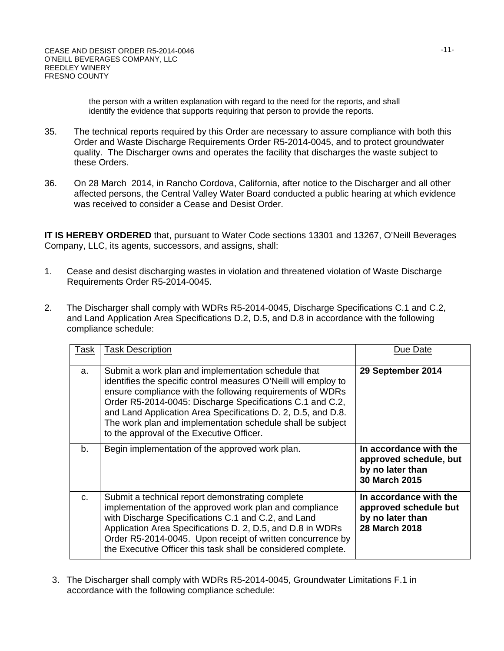the person with a written explanation with regard to the need for the reports, and shall identify the evidence that supports requiring that person to provide the reports.

- 35. The technical reports required by this Order are necessary to assure compliance with both this Order and Waste Discharge Requirements Order R5-2014-0045, and to protect groundwater quality. The Discharger owns and operates the facility that discharges the waste subject to these Orders.
- 36. On 28 March 2014, in Rancho Cordova, California, after notice to the Discharger and all other affected persons, the Central Valley Water Board conducted a public hearing at which evidence was received to consider a Cease and Desist Order.

**IT IS HEREBY ORDERED** that, pursuant to Water Code sections 13301 and 13267, O'Neill Beverages Company, LLC, its agents, successors, and assigns, shall:

- 1. Cease and desist discharging wastes in violation and threatened violation of Waste Discharge Requirements Order R5-2014-0045.
- 2. The Discharger shall comply with WDRs R5-2014-0045, Discharge Specifications C.1 and C.2, and Land Application Area Specifications D.2, D.5, and D.8 in accordance with the following compliance schedule:

| <b>Task</b> | <b>Task Description</b>                                                                                                                                                                                                                                                                                                                                                                                                     | Due Date                                                                                    |
|-------------|-----------------------------------------------------------------------------------------------------------------------------------------------------------------------------------------------------------------------------------------------------------------------------------------------------------------------------------------------------------------------------------------------------------------------------|---------------------------------------------------------------------------------------------|
| a.          | Submit a work plan and implementation schedule that<br>identifies the specific control measures O'Neill will employ to<br>ensure compliance with the following requirements of WDRs<br>Order R5-2014-0045: Discharge Specifications C.1 and C.2,<br>and Land Application Area Specifications D. 2, D.5, and D.8.<br>The work plan and implementation schedule shall be subject<br>to the approval of the Executive Officer. | 29 September 2014                                                                           |
| $b_{\cdot}$ | Begin implementation of the approved work plan.                                                                                                                                                                                                                                                                                                                                                                             | In accordance with the<br>approved schedule, but<br>by no later than<br>30 March 2015       |
| $C_{\cdot}$ | Submit a technical report demonstrating complete<br>implementation of the approved work plan and compliance<br>with Discharge Specifications C.1 and C.2, and Land<br>Application Area Specifications D. 2, D.5, and D.8 in WDRs<br>Order R5-2014-0045. Upon receipt of written concurrence by<br>the Executive Officer this task shall be considered complete.                                                             | In accordance with the<br>approved schedule but<br>by no later than<br><b>28 March 2018</b> |

3. The Discharger shall comply with WDRs R5-2014-0045, Groundwater Limitations F.1 in accordance with the following compliance schedule: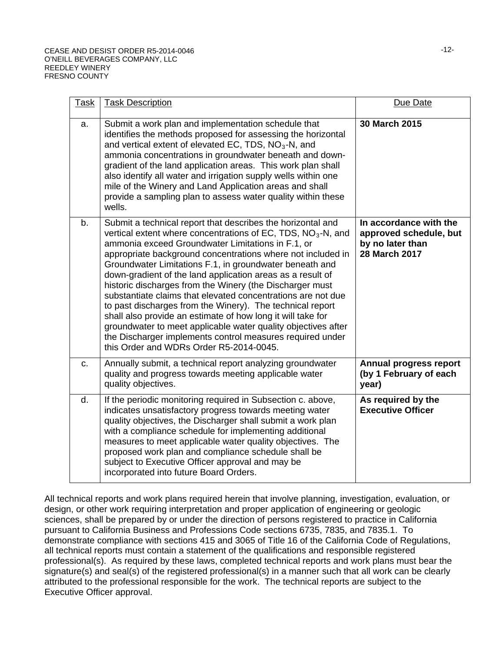| <u>Task</u> | <b>Task Description</b>                                                                                                                                                                                                                                                                                                                                                                                                                                                                                                                                                                                                                                                                                                                                                                                               | Due Date                                                                              |
|-------------|-----------------------------------------------------------------------------------------------------------------------------------------------------------------------------------------------------------------------------------------------------------------------------------------------------------------------------------------------------------------------------------------------------------------------------------------------------------------------------------------------------------------------------------------------------------------------------------------------------------------------------------------------------------------------------------------------------------------------------------------------------------------------------------------------------------------------|---------------------------------------------------------------------------------------|
| a.          | Submit a work plan and implementation schedule that<br>identifies the methods proposed for assessing the horizontal<br>and vertical extent of elevated EC, TDS, $NO3$ -N, and<br>ammonia concentrations in groundwater beneath and down-<br>gradient of the land application areas. This work plan shall<br>also identify all water and irrigation supply wells within one<br>mile of the Winery and Land Application areas and shall<br>provide a sampling plan to assess water quality within these<br>wells.                                                                                                                                                                                                                                                                                                       | 30 March 2015                                                                         |
| b.          | Submit a technical report that describes the horizontal and<br>vertical extent where concentrations of EC, TDS, NO <sub>3</sub> -N, and<br>ammonia exceed Groundwater Limitations in F.1, or<br>appropriate background concentrations where not included in<br>Groundwater Limitations F.1, in groundwater beneath and<br>down-gradient of the land application areas as a result of<br>historic discharges from the Winery (the Discharger must<br>substantiate claims that elevated concentrations are not due<br>to past discharges from the Winery). The technical report<br>shall also provide an estimate of how long it will take for<br>groundwater to meet applicable water quality objectives after<br>the Discharger implements control measures required under<br>this Order and WDRs Order R5-2014-0045. | In accordance with the<br>approved schedule, but<br>by no later than<br>28 March 2017 |
| C.          | Annually submit, a technical report analyzing groundwater<br>quality and progress towards meeting applicable water<br>quality objectives.                                                                                                                                                                                                                                                                                                                                                                                                                                                                                                                                                                                                                                                                             | Annual progress report<br>(by 1 February of each<br>year)                             |
| d.          | If the periodic monitoring required in Subsection c. above,<br>indicates unsatisfactory progress towards meeting water<br>quality objectives, the Discharger shall submit a work plan<br>with a compliance schedule for implementing additional<br>measures to meet applicable water quality objectives. The<br>proposed work plan and compliance schedule shall be<br>subject to Executive Officer approval and may be<br>incorporated into future Board Orders.                                                                                                                                                                                                                                                                                                                                                     | As required by the<br><b>Executive Officer</b>                                        |

All technical reports and work plans required herein that involve planning, investigation, evaluation, or design, or other work requiring interpretation and proper application of engineering or geologic sciences, shall be prepared by or under the direction of persons registered to practice in California pursuant to California Business and Professions Code sections 6735, 7835, and 7835.1. To demonstrate compliance with sections 415 and 3065 of Title 16 of the California Code of Regulations, all technical reports must contain a statement of the qualifications and responsible registered professional(s). As required by these laws, completed technical reports and work plans must bear the signature(s) and seal(s) of the registered professional(s) in a manner such that all work can be clearly attributed to the professional responsible for the work. The technical reports are subject to the Executive Officer approval.